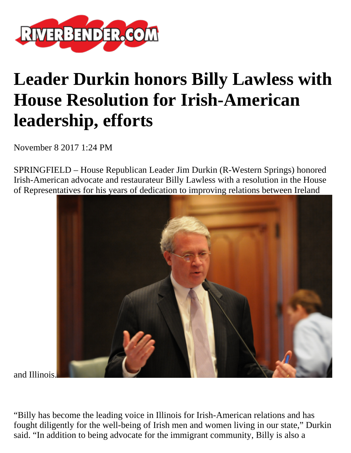

## **Leader Durkin honors Billy Lawless with House Resolution for Irish-American leadership, efforts**

November 8 2017 1:24 PM

SPRINGFIELD – House Republican Leader Jim Durkin (R-Western Springs) honored Irish-American advocate and restaurateur Billy Lawless with a resolution in the House of Representatives for his years of dedication to improving relations between Ireland



and Illinois.

"Billy has become the leading voice in Illinois for Irish-American relations and has fought diligently for the well-being of Irish men and women living in our state," Durkin said. "In addition to being advocate for the immigrant community, Billy is also a